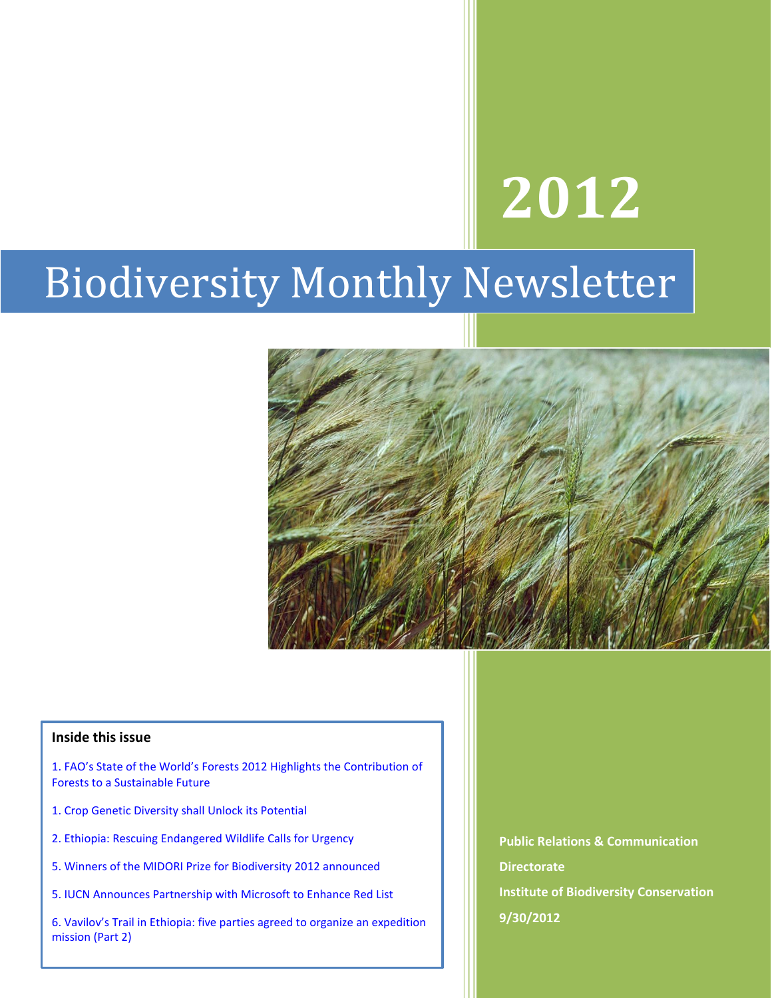# **2012**

# Biodiversity Monthly Newsletter



#### **Inside this issue**

- 1. FAO's State of the World's Forests 2012 Highlights the Contribution of Forests to a Sustainable Future
- 1. Crop Genetic Diversity shall Unlock its Potential
- 2. Ethiopia: Rescuing Endangered Wildlife Calls for Urgency
- 5. Winners of the MIDORI Prize for Biodiversity 2012 announced
- 5. IUCN Announces Partnership with Microsoft to Enhance Red List

6. Vavilov's Trail in Ethiopia: five parties agreed to organize an expedition mission (Part 2)

**Public Relations & Communication Directorate Institute of Biodiversity Conservation 9/30/2012**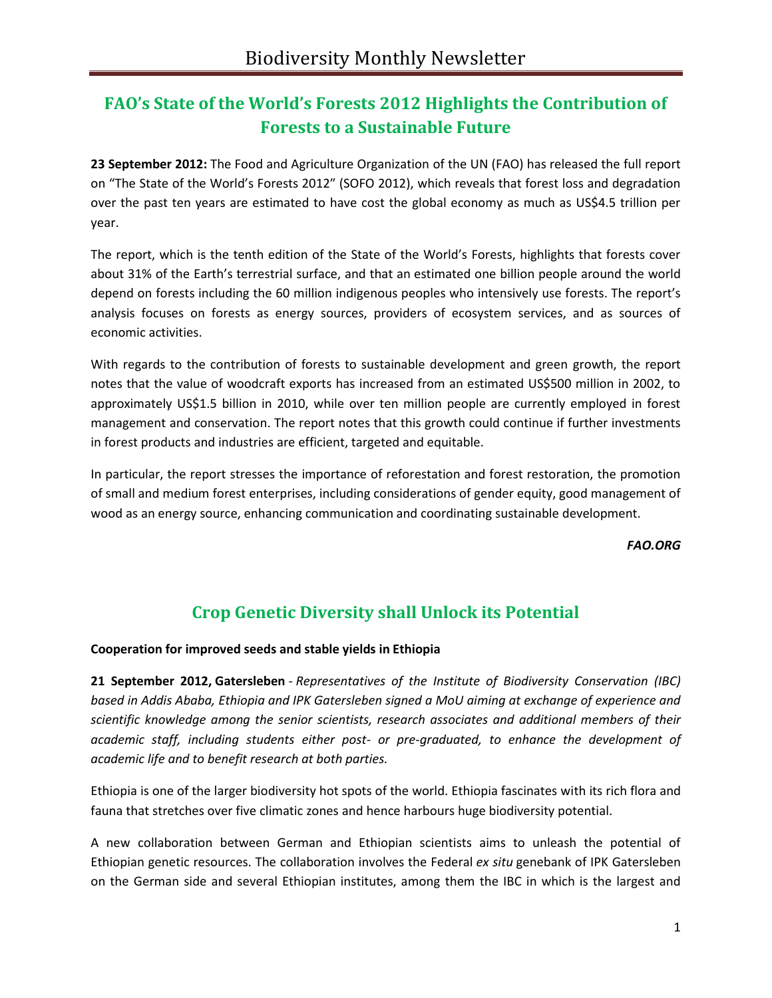# **FAO's State of the World's Forests 2012 Highlights the Contribution of Forests to a Sustainable Future**

**23 September 2012:** The Food and Agriculture Organization of the UN (FAO) has released the full report on "The State of the World's Forests 2012″ (SOFO 2012), which reveals that forest loss and degradation over the past ten years are estimated to have cost the global economy as much as US\$4.5 trillion per year.

The report, which is the tenth edition of the State of the World's Forests, highlights that forests cover about 31% of the Earth's terrestrial surface, and that an estimated one billion people around the world depend on forests including the 60 million indigenous peoples who intensively use forests. The report's analysis focuses on forests as energy sources, providers of ecosystem services, and as sources of economic activities.

With regards to the contribution of forests to sustainable development and green growth, the report notes that the value of woodcraft exports has increased from an estimated US\$500 million in 2002, to approximately US\$1.5 billion in 2010, while over ten million people are currently employed in forest management and conservation. The report notes that this growth could continue if further investments in forest products and industries are efficient, targeted and equitable.

In particular, the report stresses the importance of reforestation and forest restoration, the promotion of small and medium forest enterprises, including considerations of gender equity, good management of wood as an energy source, enhancing communication and coordinating sustainable development.

*FAO.ORG*

# **Crop Genetic Diversity shall Unlock its Potential**

**Cooperation for improved seeds and stable yields in Ethiopia**

**21 September 2012, Gatersleben** - *Representatives of the Institute of Biodiversity Conservation (IBC) based in Addis Ababa, Ethiopia and IPK Gatersleben signed a MoU aiming at exchange of experience and scientific knowledge among the senior scientists, research associates and additional members of their academic staff, including students either post- or pre-graduated, to enhance the development of academic life and to benefit research at both parties.*

Ethiopia is one of the larger biodiversity hot spots of the world. Ethiopia fascinates with its rich flora and fauna that stretches over five climatic zones and hence harbours huge biodiversity potential.

A new collaboration between German and Ethiopian scientists aims to unleash the potential of Ethiopian genetic resources. The collaboration involves the Federal *ex situ* genebank of IPK Gatersleben on the German side and several Ethiopian institutes, among them the IBC in which is the largest and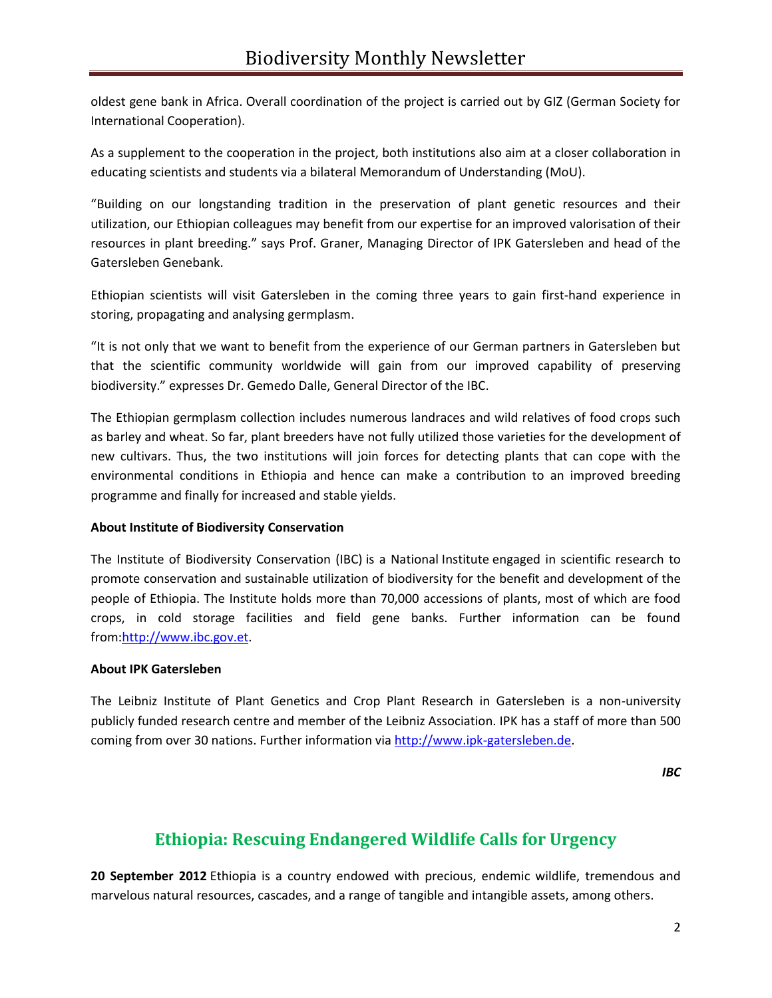oldest gene bank in Africa. Overall coordination of the project is carried out by GIZ (German Society for International Cooperation).

As a supplement to the cooperation in the project, both institutions also aim at a closer collaboration in educating scientists and students via a bilateral Memorandum of Understanding (MoU).

"Building on our longstanding tradition in the preservation of plant genetic resources and their utilization, our Ethiopian colleagues may benefit from our expertise for an improved valorisation of their resources in plant breeding." says Prof. Graner, Managing Director of IPK Gatersleben and head of the Gatersleben Genebank.

Ethiopian scientists will visit Gatersleben in the coming three years to gain first-hand experience in storing, propagating and analysing germplasm.

"It is not only that we want to benefit from the experience of our German partners in Gatersleben but that the scientific community worldwide will gain from our improved capability of preserving biodiversity." expresses Dr. Gemedo Dalle, General Director of the IBC.

The Ethiopian germplasm collection includes numerous landraces and wild relatives of food crops such as barley and wheat. So far, plant breeders have not fully utilized those varieties for the development of new cultivars. Thus, the two institutions will join forces for detecting plants that can cope with the environmental conditions in Ethiopia and hence can make a contribution to an improved breeding programme and finally for increased and stable yields.

#### **About Institute of Biodiversity Conservation**

The Institute of Biodiversity Conservation (IBC) is a National Institute engaged in scientific research to promote conservation and sustainable utilization of biodiversity for the benefit and development of the people of Ethiopia. The Institute holds more than 70,000 accessions of plants, most of which are food crops, in cold storage facilities and field gene banks. Further information can be found from[:http://www.ibc.gov.et.](http://www.ibc.gov.et/)

#### **About IPK Gatersleben**

The Leibniz Institute of Plant Genetics and Crop Plant Research in Gatersleben is a non-university publicly funded research centre and member of the Leibniz Association. IPK has a staff of more than 500 coming from over 30 nations. Further information via [http://www.ipk-gatersleben.de.](http://www.ipk-gatersleben.de/)

*IBC*

## **Ethiopia: Rescuing Endangered Wildlife Calls for Urgency**

**20 September 2012** Ethiopia is a country endowed with precious, endemic wildlife, tremendous and marvelous natural resources, cascades, and a range of tangible and intangible assets, among others.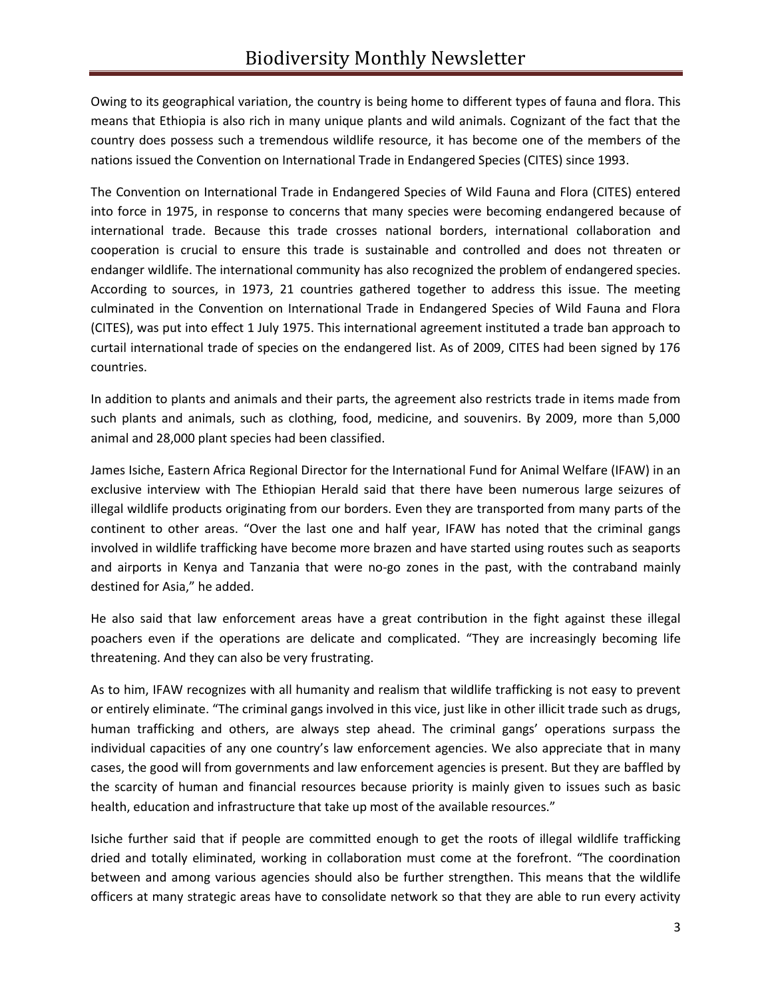Owing to its geographical variation, the country is being home to different types of fauna and flora. This means that Ethiopia is also rich in many unique plants and wild animals. Cognizant of the fact that the country does possess such a tremendous wildlife resource, it has become one of the members of the nations issued the Convention on International Trade in Endangered Species (CITES) since 1993.

The Convention on International Trade in Endangered Species of Wild Fauna and Flora (CITES) entered into force in 1975, in response to concerns that many species were becoming endangered because of international trade. Because this trade crosses national borders, international collaboration and cooperation is crucial to ensure this trade is sustainable and controlled and does not threaten or endanger wildlife. The international community has also recognized the problem of endangered species. According to sources, in 1973, 21 countries gathered together to address this issue. The meeting culminated in the Convention on International Trade in Endangered Species of Wild Fauna and Flora (CITES), was put into effect 1 July 1975. This international agreement instituted a trade ban approach to curtail international trade of species on the endangered list. As of 2009, CITES had been signed by 176 countries.

In addition to plants and animals and their parts, the agreement also restricts trade in items made from such plants and animals, such as clothing, food, medicine, and souvenirs. By 2009, more than 5,000 animal and 28,000 plant species had been classified.

James Isiche, Eastern Africa Regional Director for the International Fund for Animal Welfare (IFAW) in an exclusive interview with The Ethiopian Herald said that there have been numerous large seizures of illegal wildlife products originating from our borders. Even they are transported from many parts of the continent to other areas. "Over the last one and half year, IFAW has noted that the criminal gangs involved in wildlife trafficking have become more brazen and have started using routes such as seaports and airports in Kenya and Tanzania that were no-go zones in the past, with the contraband mainly destined for Asia," he added.

He also said that law enforcement areas have a great contribution in the fight against these illegal poachers even if the operations are delicate and complicated. "They are increasingly becoming life threatening. And they can also be very frustrating.

As to him, IFAW recognizes with all humanity and realism that wildlife trafficking is not easy to prevent or entirely eliminate. "The criminal gangs involved in this vice, just like in other illicit trade such as drugs, human trafficking and others, are always step ahead. The criminal gangs' operations surpass the individual capacities of any one country's law enforcement agencies. We also appreciate that in many cases, the good will from governments and law enforcement agencies is present. But they are baffled by the scarcity of human and financial resources because priority is mainly given to issues such as basic health, education and infrastructure that take up most of the available resources."

Isiche further said that if people are committed enough to get the roots of illegal wildlife trafficking dried and totally eliminated, working in collaboration must come at the forefront. "The coordination between and among various agencies should also be further strengthen. This means that the wildlife officers at many strategic areas have to consolidate network so that they are able to run every activity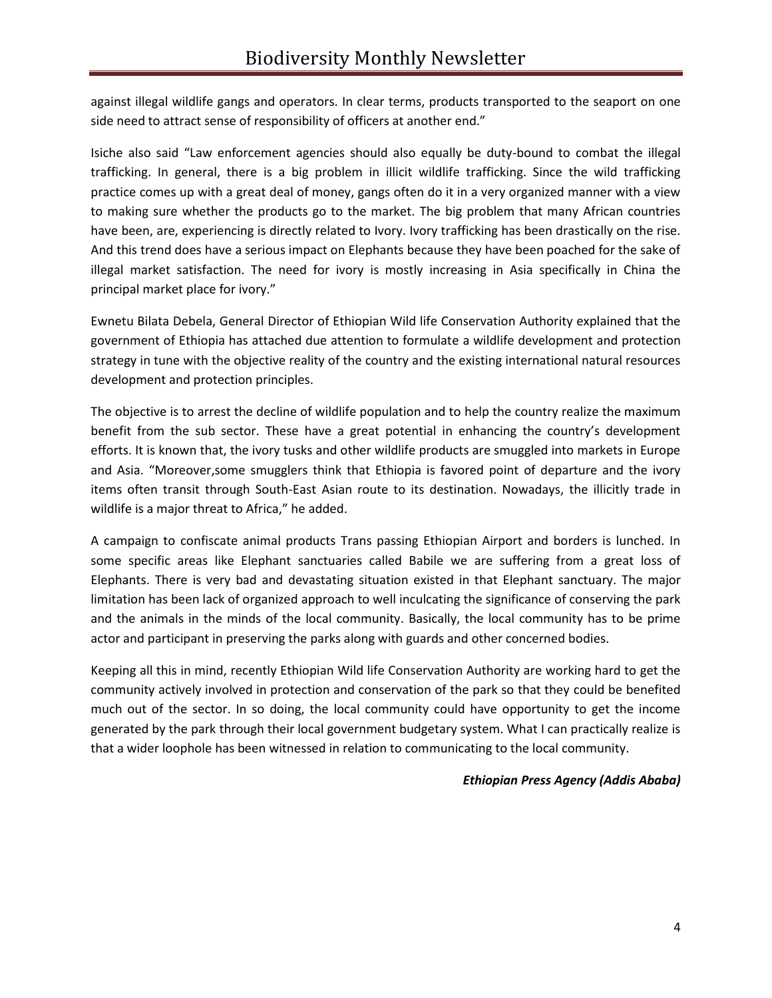against illegal wildlife gangs and operators. In clear terms, products transported to the seaport on one side need to attract sense of responsibility of officers at another end."

Isiche also said "Law enforcement agencies should also equally be duty-bound to combat the illegal trafficking. In general, there is a big problem in illicit wildlife trafficking. Since the wild trafficking practice comes up with a great deal of money, gangs often do it in a very organized manner with a view to making sure whether the products go to the market. The big problem that many African countries have been, are, experiencing is directly related to Ivory. Ivory trafficking has been drastically on the rise. And this trend does have a serious impact on Elephants because they have been poached for the sake of illegal market satisfaction. The need for ivory is mostly increasing in Asia specifically in China the principal market place for ivory."

Ewnetu Bilata Debela, General Director of Ethiopian Wild life Conservation Authority explained that the government of Ethiopia has attached due attention to formulate a wildlife development and protection strategy in tune with the objective reality of the country and the existing international natural resources development and protection principles.

The objective is to arrest the decline of wildlife population and to help the country realize the maximum benefit from the sub sector. These have a great potential in enhancing the country's development efforts. It is known that, the ivory tusks and other wildlife products are smuggled into markets in Europe and Asia. "Moreover,some smugglers think that Ethiopia is favored point of departure and the ivory items often transit through South-East Asian route to its destination. Nowadays, the illicitly trade in wildlife is a major threat to Africa," he added.

A campaign to confiscate animal products Trans passing Ethiopian Airport and borders is lunched. In some specific areas like Elephant sanctuaries called Babile we are suffering from a great loss of Elephants. There is very bad and devastating situation existed in that Elephant sanctuary. The major limitation has been lack of organized approach to well inculcating the significance of conserving the park and the animals in the minds of the local community. Basically, the local community has to be prime actor and participant in preserving the parks along with guards and other concerned bodies.

Keeping all this in mind, recently Ethiopian Wild life Conservation Authority are working hard to get the community actively involved in protection and conservation of the park so that they could be benefited much out of the sector. In so doing, the local community could have opportunity to get the income generated by the park through their local government budgetary system. What I can practically realize is that a wider loophole has been witnessed in relation to communicating to the local community.

#### *Ethiopian Press Agency (Addis Ababa)*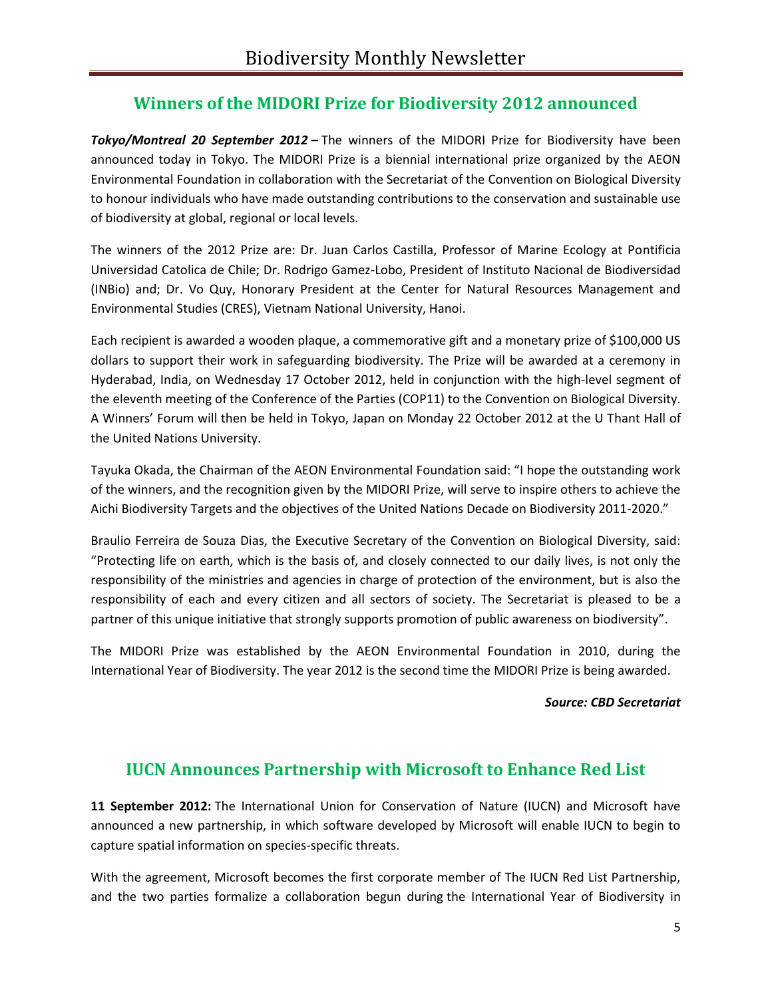## **Winners of the MIDORI Prize for Biodiversity 2012 announced**

*Tokyo/Montreal 20 September 2012* **–** The winners of the MIDORI Prize for Biodiversity have been announced today in Tokyo. The MIDORI Prize is a biennial international prize organized by the AEON Environmental Foundation in collaboration with the Secretariat of the Convention on Biological Diversity to honour individuals who have made outstanding contributions to the conservation and sustainable use of biodiversity at global, regional or local levels.

The winners of the 2012 Prize are: Dr. Juan Carlos Castilla, Professor of Marine Ecology at Pontificia Universidad Catolica de Chile; Dr. Rodrigo Gamez-Lobo, President of Instituto Nacional de Biodiversidad (INBio) and; Dr. Vo Quy, Honorary President at the Center for Natural Resources Management and Environmental Studies (CRES), Vietnam National University, Hanoi.

Each recipient is awarded a wooden plaque, a commemorative gift and a monetary prize of \$100,000 US dollars to support their work in safeguarding biodiversity. The Prize will be awarded at a ceremony in Hyderabad, India, on Wednesday 17 October 2012, held in conjunction with the high-level segment of the eleventh meeting of the Conference of the Parties (COP11) to the Convention on Biological Diversity. A Winners' Forum will then be held in Tokyo, Japan on Monday 22 October 2012 at the U Thant Hall of the United Nations University.

Tayuka Okada, the Chairman of the AEON Environmental Foundation said: "I hope the outstanding work of the winners, and the recognition given by the MIDORI Prize, will serve to inspire others to achieve the Aichi Biodiversity Targets and the objectives of the United Nations Decade on Biodiversity 2011-2020."

Braulio Ferreira de Souza Dias, the Executive Secretary of the Convention on Biological Diversity, said: "Protecting life on earth, which is the basis of, and closely connected to our daily lives, is not only the responsibility of the ministries and agencies in charge of protection of the environment, but is also the responsibility of each and every citizen and all sectors of society. The Secretariat is pleased to be a partner of this unique initiative that strongly supports promotion of public awareness on biodiversity".

The MIDORI Prize was established by the AEON Environmental Foundation in 2010, during the International Year of Biodiversity. The year 2012 is the second time the MIDORI Prize is being awarded.

#### *Source: CBD Secretariat*

#### **IUCN Announces Partnership with Microsoft to Enhance Red List**

**11 September 2012:** The International Union for Conservation of Nature (IUCN) and Microsoft have announced a new partnership, in which software developed by Microsoft will enable IUCN to begin to capture spatial information on species-specific threats.

With the agreement, Microsoft becomes the first corporate member of The IUCN Red List Partnership, and the two parties formalize a collaboration begun during the International Year of Biodiversity in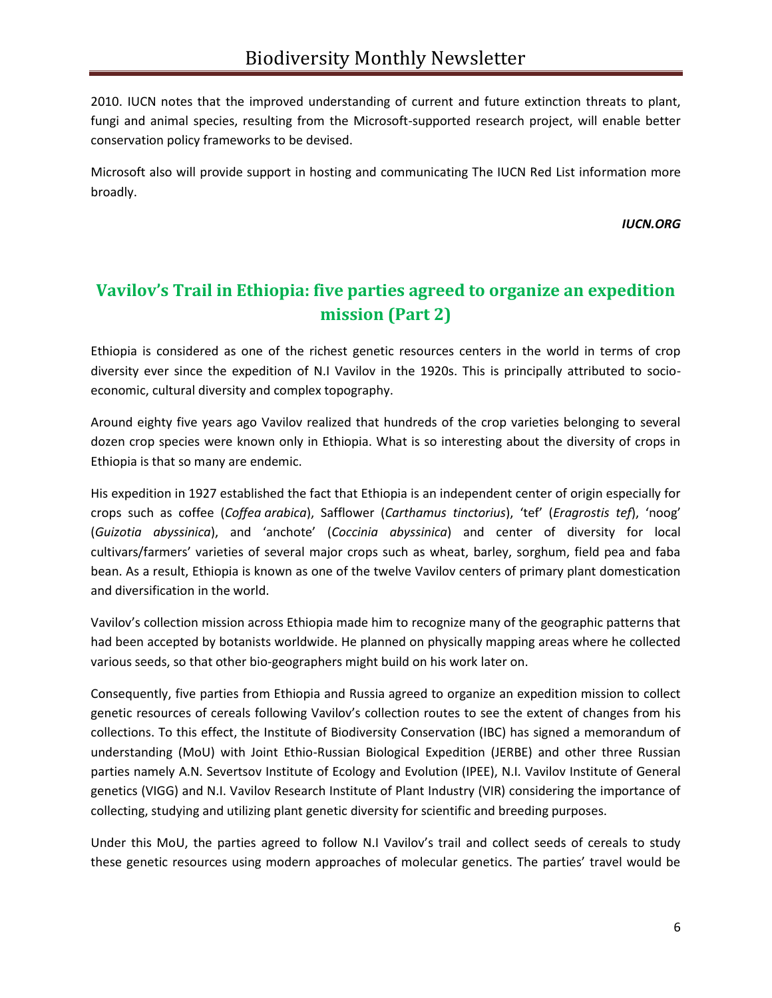2010. IUCN notes that the improved understanding of current and future extinction threats to plant, fungi and animal species, resulting from the Microsoft-supported research project, will enable better conservation policy frameworks to be devised.

Microsoft also will provide support in hosting and communicating The IUCN Red List information more broadly.

*IUCN.ORG*

# **Vavilov's Trail in Ethiopia: five parties agreed to organize an expedition mission (Part 2)**

Ethiopia is considered as one of the richest genetic resources centers in the world in terms of crop diversity ever since the expedition of N.I Vavilov in the 1920s. This is principally attributed to socioeconomic, cultural diversity and complex topography.

Around eighty five years ago Vavilov realized that hundreds of the crop varieties belonging to several dozen crop species were known only in Ethiopia. What is so interesting about the diversity of crops in Ethiopia is that so many are endemic.

His expedition in 1927 established the fact that Ethiopia is an independent center of origin especially for crops such as coffee (*Coffea arabica*), Safflower (*Carthamus tinctorius*), 'tef' (*Eragrostis tef*), 'noog' (*Guizotia abyssinica*), and 'anchote' (*Coccinia abyssinica*) and center of diversity for local cultivars/farmers' varieties of several major crops such as wheat, barley, sorghum, field pea and faba bean. As a result, Ethiopia is known as one of the twelve Vavilov centers of primary plant domestication and diversification in the world.

Vavilov's collection mission across Ethiopia made him to recognize many of the geographic patterns that had been accepted by botanists worldwide. He planned on physically mapping areas where he collected various seeds, so that other bio-geographers might build on his work later on.

Consequently, five parties from Ethiopia and Russia agreed to organize an expedition mission to collect genetic resources of cereals following Vavilov's collection routes to see the extent of changes from his collections. To this effect, the Institute of Biodiversity Conservation (IBC) has signed a memorandum of understanding (MoU) with Joint Ethio-Russian Biological Expedition (JERBE) and other three Russian parties namely A.N. Severtsov Institute of Ecology and Evolution (IPEE), N.I. Vavilov Institute of General genetics (VIGG) and N.I. Vavilov Research Institute of Plant Industry (VIR) considering the importance of collecting, studying and utilizing plant genetic diversity for scientific and breeding purposes.

Under this MoU, the parties agreed to follow N.I Vavilov's trail and collect seeds of cereals to study these genetic resources using modern approaches of molecular genetics. The parties' travel would be